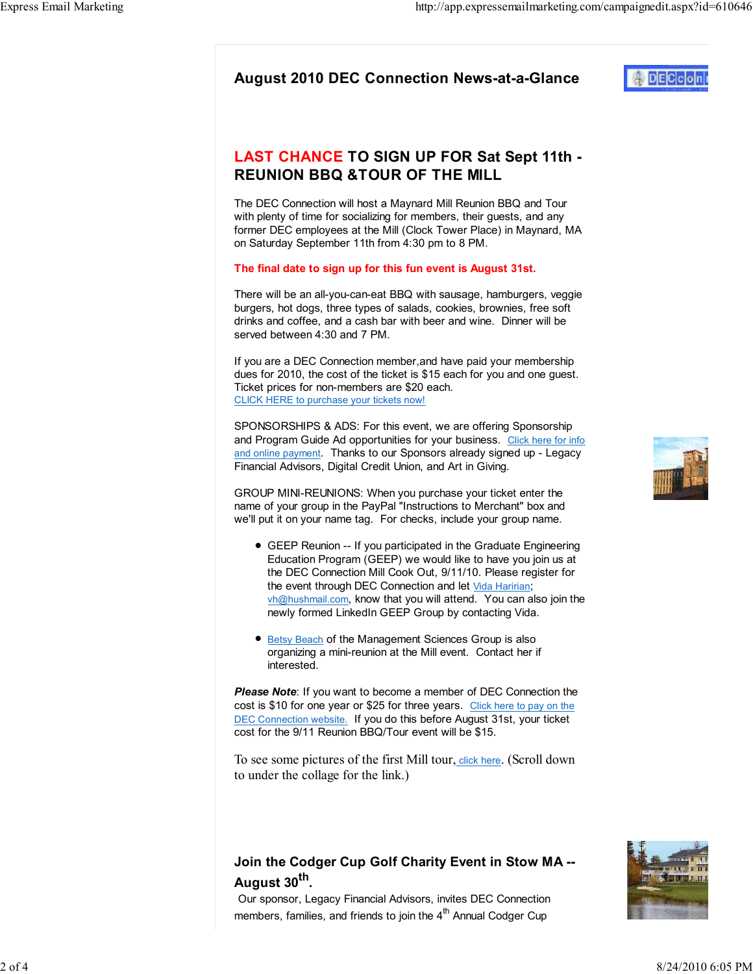# LAST CHANCE TO SIGN UP FOR Sat Sept 11th - REUNION BBQ &TOUR OF THE MILL

The DEC Connection will host a Maynard Mill Reunion BBQ and Tour with plenty of time for socializing for members, their guests, and any former DEC employees at the Mill (Clock Tower Place) in Maynard, MA on Saturday September 11th from 4:30 pm to 8 PM.

#### The final date to sign up for this fun event is August 31st.

There will be an all-you-can-eat BBQ with sausage, hamburgers, veggie burgers, hot dogs, three types of salads, cookies, brownies, free soft drinks and coffee, and a cash bar with beer and wine. Dinner will be served between 4:30 and 7 PM.

If you are a DEC Connection member,and have paid your membership dues for 2010, the cost of the ticket is \$15 each for you and one guest. Ticket prices for non-members are \$20 each. CLICK HERE to purchase your tickets now!

SPONSORSHIPS & ADS: For this event, we are offering Sponsorship and Program Guide Ad opportunities for your business. Click here for info and online payment. Thanks to our Sponsors already signed up - Legacy Financial Advisors, Digital Credit Union, and Art in Giving.

GROUP MINI-REUNIONS: When you purchase your ticket enter the name of your group in the PayPal "Instructions to Merchant" box and we'll put it on your name tag. For checks, include your group name.

- GEEP Reunion -- If you participated in the Graduate Engineering Education Program (GEEP) we would like to have you join us at the DEC Connection Mill Cook Out, 9/11/10. Please register for the event through DEC Connection and let Vida Haririan; vh@hushmail.com, know that you will attend. You can also join the newly formed LinkedIn GEEP Group by contacting Vida.
- Betsy Beach of the Management Sciences Group is also organizing a mini-reunion at the Mill event. Contact her if interested.

**Please Note:** If you want to become a member of DEC Connection the cost is \$10 for one year or \$25 for three years. Click here to pay on the DEC Connection website. If you do this before August 31st, your ticket cost for the 9/11 Reunion BBQ/Tour event will be \$15.

To see some pictures of the first Mill tour, click here. (Scroll down to under the collage for the link.)

## Join the Codger Cup Golf Charity Event in Stow MA -- August 30<sup>th</sup>.

Our sponsor, Legacy Financial Advisors, invites DEC Connection members, families, and friends to join the  $4<sup>th</sup>$  Annual Codger Cup